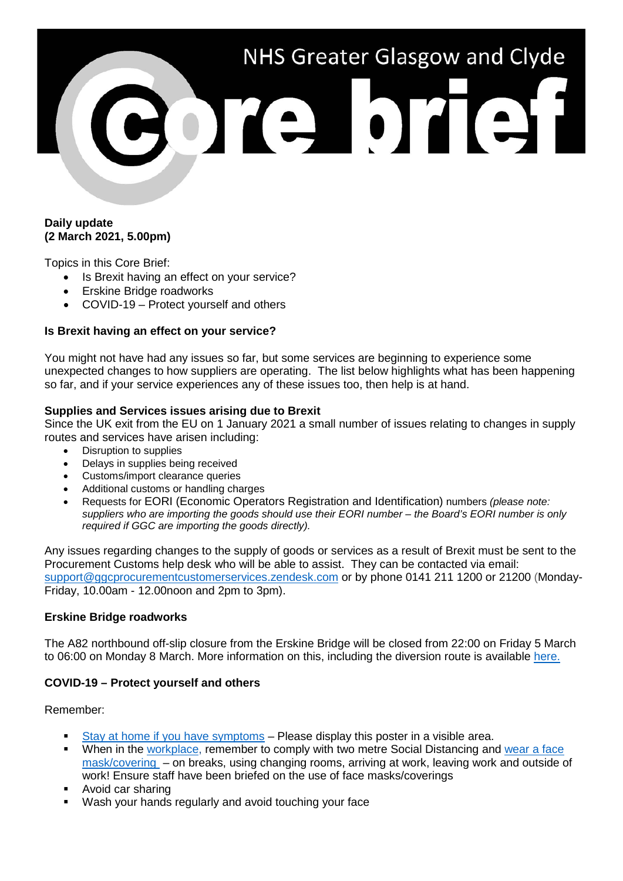# NHS Greater Glasgow and Clyde ore brief

## **Daily update (2 March 2021, 5.00pm)**

Topics in this Core Brief:

- Is Brexit having an effect on your service?
- Erskine Bridge roadworks
- COVID-19 Protect yourself and others

## **Is Brexit having an effect on your service?**

You might not have had any issues so far, but some services are beginning to experience some unexpected changes to how suppliers are operating. The list below highlights what has been happening so far, and if your service experiences any of these issues too, then help is at hand.

#### **Supplies and Services issues arising due to Brexit**

Since the UK exit from the EU on 1 January 2021 a small number of issues relating to changes in supply routes and services have arisen including:

- Disruption to supplies
- Delays in supplies being received
- Customs/import clearance queries
- Additional customs or handling charges
- Requests for EORI (Economic Operators Registration and Identification) numbers *(please note: suppliers who are importing the goods should use their EORI number – the Board's EORI number is only required if GGC are importing the goods directly).*

Any issues regarding changes to the supply of goods or services as a result of Brexit must be sent to the Procurement Customs help desk who will be able to assist. They can be contacted via email: [support@ggcprocurementcustomerservices.zendesk.com](mailto:support@ggcprocurementcustomerservices.zendesk.com) or by phone 0141 211 1200 or 21200 (Monday-Friday, 10.00am - 12.00noon and 2pm to 3pm).

#### **Erskine Bridge roadworks**

The A82 northbound off-slip closure from the Erskine Bridge will be closed from 22:00 on Friday 5 March to 06:00 on Monday 8 March. More information on this, including the diversion route is available [here.](https://swtrunkroads.scot/scottish-south-west-trunk-roads/a898/a898-erskine-bridge/)

# **COVID-19 – Protect yourself and others**

Remember:

- [Stay at home if you have symptoms](https://www.nhsggc.org.uk/media/263552/covid19_stop_the_spread_good_practice_poster.pdf) Please display this poster in a visible area.
- When in the [workplace,](https://hpspubsrepo.blob.core.windows.net/hps-website/nss/3071/documents/1_covid-19-key-messages-in-the-workplace-a4.pdf) remember to comply with two metre Social Distancing and [wear a face](https://www.nhsggc.org.uk/media/264667/covid19_staff_face_masks_coverings.pdf)  [mask/covering](https://www.nhsggc.org.uk/media/264667/covid19_staff_face_masks_coverings.pdf) – on breaks, using changing rooms, arriving at work, leaving work and outside of work! Ensure staff have been briefed on the use of face masks/coverings
- Avoid car sharing
- Wash your hands regularly and avoid touching your face